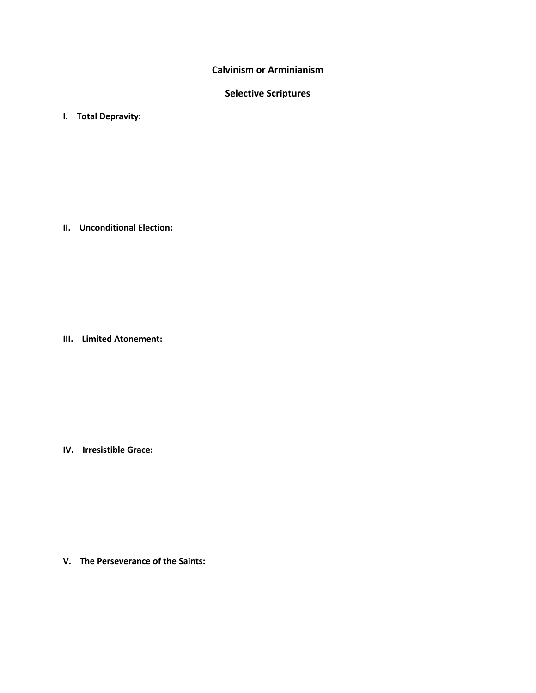**Calvinism or Arminianism**

# **Selective Scriptures**

**I. Total Depravity:** 

**II. Unconditional Election:**

**III. Limited Atonement:**

**IV. Irresistible Grace:**

**V. The Perseverance of the Saints:**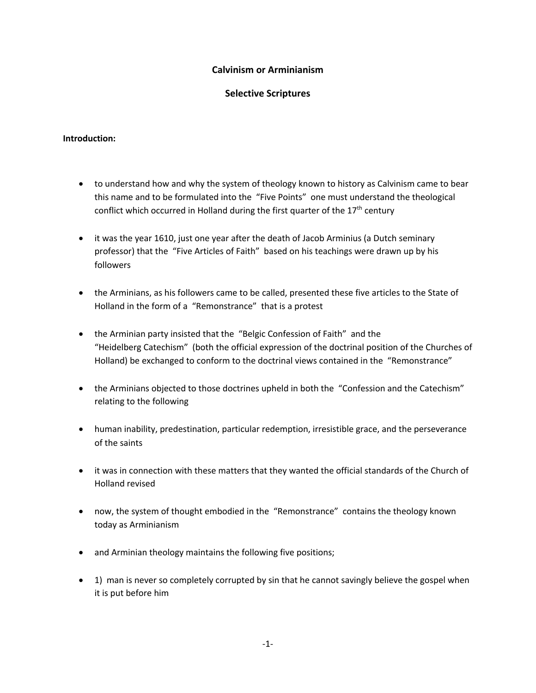# **Calvinism or Arminianism**

# **Selective Scriptures**

### **Introduction:**

- to understand how and why the system of theology known to history as Calvinism came to bear this name and to be formulated into the "Five Points" one must understand the theological conflict which occurred in Holland during the first quarter of the  $17<sup>th</sup>$  century
- it was the year 1610, just one year after the death of Jacob Arminius (a Dutch seminary professor) that the "Five Articles of Faith" based on his teachings were drawn up by his followers
- the Arminians, as his followers came to be called, presented these five articles to the State of Holland in the form of a "Remonstrance" that is a protest
- the Arminian party insisted that the "Belgic Confession of Faith" and the "Heidelberg Catechism" (both the official expression of the doctrinal position of the Churches of Holland) be exchanged to conform to the doctrinal views contained in the "Remonstrance"
- the Arminians objected to those doctrines upheld in both the "Confession and the Catechism" relating to the following
- human inability, predestination, particular redemption, irresistible grace, and the perseverance of the saints
- it was in connection with these matters that they wanted the official standards of the Church of Holland revised
- now, the system of thought embodied in the "Remonstrance" contains the theology known today as Arminianism
- and Arminian theology maintains the following five positions;
- 1) man is never so completely corrupted by sin that he cannot savingly believe the gospel when it is put before him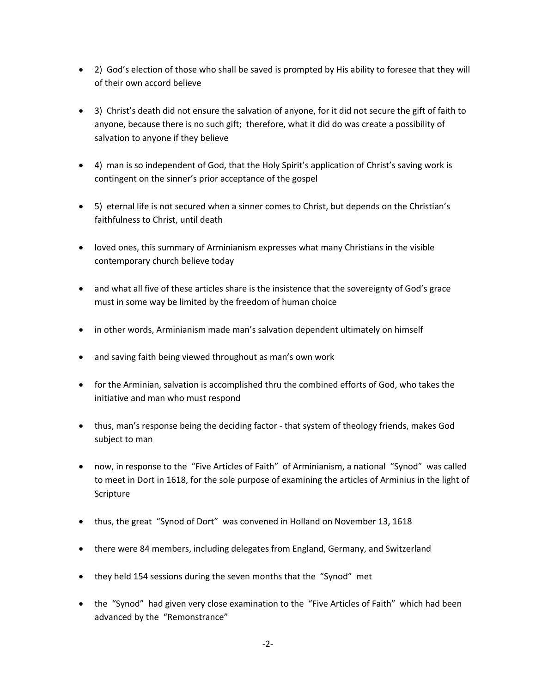- 2) God's election of those who shall be saved is prompted by His ability to foresee that they will of their own accord believe
- 3) Christ's death did not ensure the salvation of anyone, for it did not secure the gift of faith to anyone, because there is no such gift; therefore, what it did do was create a possibility of salvation to anyone if they believe
- 4) man is so independent of God, that the Holy Spirit's application of Christ's saving work is contingent on the sinner's prior acceptance of the gospel
- 5) eternal life is not secured when a sinner comes to Christ, but depends on the Christian's faithfulness to Christ, until death
- loved ones, this summary of Arminianism expresses what many Christians in the visible contemporary church believe today
- and what all five of these articles share is the insistence that the sovereignty of God's grace must in some way be limited by the freedom of human choice
- in other words, Arminianism made man's salvation dependent ultimately on himself
- and saving faith being viewed throughout as man's own work
- for the Arminian, salvation is accomplished thru the combined efforts of God, who takes the initiative and man who must respond
- thus, man's response being the deciding factor that system of theology friends, makes God subject to man
- now, in response to the "Five Articles of Faith" of Arminianism, a national "Synod" was called to meet in Dort in 1618, for the sole purpose of examining the articles of Arminius in the light of Scripture
- thus, the great "Synod of Dort" was convened in Holland on November 13, 1618
- there were 84 members, including delegates from England, Germany, and Switzerland
- they held 154 sessions during the seven months that the "Synod" met
- the "Synod" had given very close examination to the "Five Articles of Faith" which had been advanced by the "Remonstrance"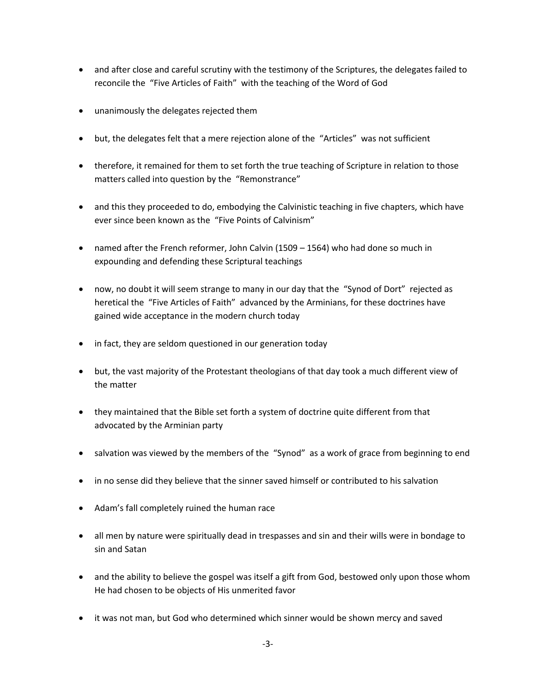- and after close and careful scrutiny with the testimony of the Scriptures, the delegates failed to reconcile the "Five Articles of Faith" with the teaching of the Word of God
- unanimously the delegates rejected them
- but, the delegates felt that a mere rejection alone of the "Articles" was not sufficient
- therefore, it remained for them to set forth the true teaching of Scripture in relation to those matters called into question by the "Remonstrance"
- and this they proceeded to do, embodying the Calvinistic teaching in five chapters, which have ever since been known as the "Five Points of Calvinism"
- named after the French reformer, John Calvin (1509 1564) who had done so much in expounding and defending these Scriptural teachings
- now, no doubt it will seem strange to many in our day that the "Synod of Dort" rejected as heretical the "Five Articles of Faith" advanced by the Arminians, for these doctrines have gained wide acceptance in the modern church today
- in fact, they are seldom questioned in our generation today
- but, the vast majority of the Protestant theologians of that day took a much different view of the matter
- they maintained that the Bible set forth a system of doctrine quite different from that advocated by the Arminian party
- salvation was viewed by the members of the "Synod" as a work of grace from beginning to end
- in no sense did they believe that the sinner saved himself or contributed to his salvation
- Adam's fall completely ruined the human race
- all men by nature were spiritually dead in trespasses and sin and their wills were in bondage to sin and Satan
- and the ability to believe the gospel was itself a gift from God, bestowed only upon those whom He had chosen to be objects of His unmerited favor
- it was not man, but God who determined which sinner would be shown mercy and saved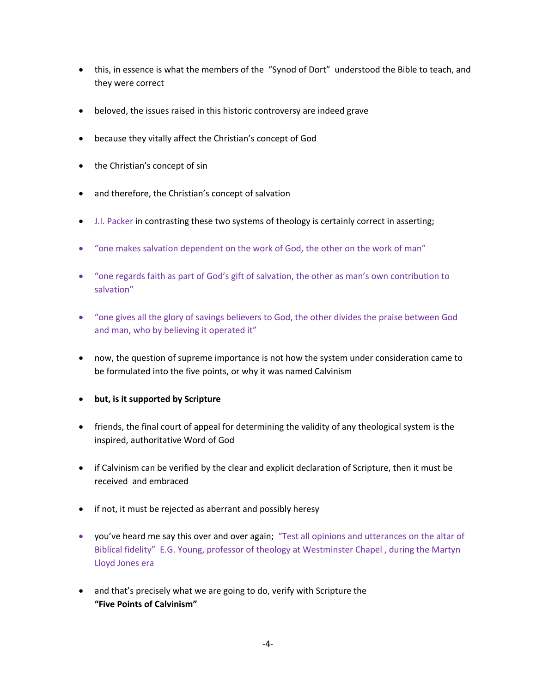- this, in essence is what the members of the "Synod of Dort" understood the Bible to teach, and they were correct
- beloved, the issues raised in this historic controversy are indeed grave
- because they vitally affect the Christian's concept of God
- the Christian's concept of sin
- and therefore, the Christian's concept of salvation
- J.I. Packer in contrasting these two systems of theology is certainly correct in asserting;
- "one makes salvation dependent on the work of God, the other on the work of man"
- "one regards faith as part of God's gift of salvation, the other as man's own contribution to salvation"
- "one gives all the glory of savings believers to God, the other divides the praise between God and man, who by believing it operated it"
- now, the question of supreme importance is not how the system under consideration came to be formulated into the five points, or why it was named Calvinism
- **but, is it supported by Scripture**
- friends, the final court of appeal for determining the validity of any theological system is the inspired, authoritative Word of God
- if Calvinism can be verified by the clear and explicit declaration of Scripture, then it must be received and embraced
- if not, it must be rejected as aberrant and possibly heresy
- you've heard me say this over and over again; "Test all opinions and utterances on the altar of Biblical fidelity" E.G. Young, professor of theology at Westminster Chapel , during the Martyn Lloyd Jones era
- and that's precisely what we are going to do, verify with Scripture the **"Five Points of Calvinism"**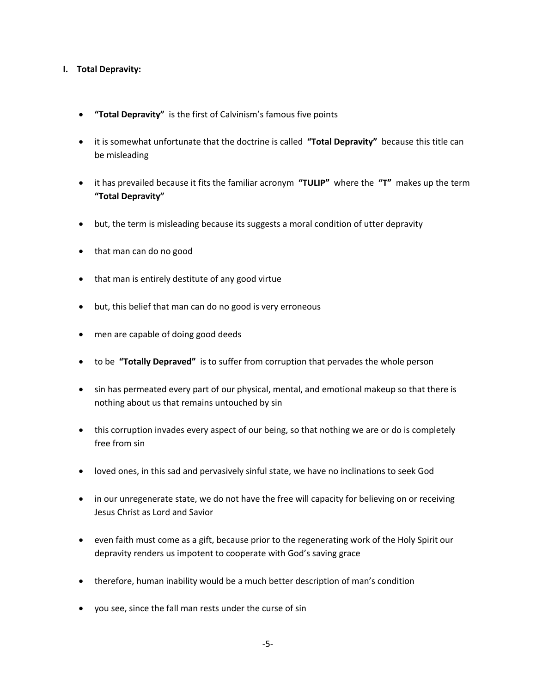### **I. Total Depravity:**

- **"Total Depravity"** is the first of Calvinism's famous five points
- it is somewhat unfortunate that the doctrine is called **"Total Depravity"** because this title can be misleading
- it has prevailed because it fits the familiar acronym **"TULIP"** where the **"T"** makes up the term **"Total Depravity"**
- but, the term is misleading because its suggests a moral condition of utter depravity
- that man can do no good
- that man is entirely destitute of any good virtue
- but, this belief that man can do no good is very erroneous
- men are capable of doing good deeds
- to be **"Totally Depraved"** is to suffer from corruption that pervades the whole person
- sin has permeated every part of our physical, mental, and emotional makeup so that there is nothing about us that remains untouched by sin
- this corruption invades every aspect of our being, so that nothing we are or do is completely free from sin
- loved ones, in this sad and pervasively sinful state, we have no inclinations to seek God
- in our unregenerate state, we do not have the free will capacity for believing on or receiving Jesus Christ as Lord and Savior
- even faith must come as a gift, because prior to the regenerating work of the Holy Spirit our depravity renders us impotent to cooperate with God's saving grace
- therefore, human inability would be a much better description of man's condition
- you see, since the fall man rests under the curse of sin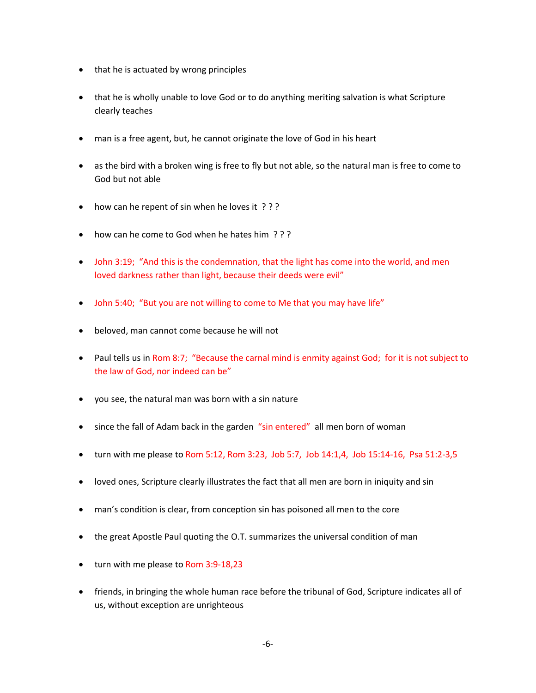- that he is actuated by wrong principles
- that he is wholly unable to love God or to do anything meriting salvation is what Scripture clearly teaches
- man is a free agent, but, he cannot originate the love of God in his heart
- as the bird with a broken wing is free to fly but not able, so the natural man is free to come to God but not able
- how can he repent of sin when he loves it ???
- how can he come to God when he hates him ? ? ?
- John 3:19; "And this is the condemnation, that the light has come into the world, and men loved darkness rather than light, because their deeds were evil"
- John 5:40; "But you are not willing to come to Me that you may have life"
- beloved, man cannot come because he will not
- Paul tells us in Rom 8:7; "Because the carnal mind is enmity against God; for it is not subject to the law of God, nor indeed can be"
- you see, the natural man was born with a sin nature
- since the fall of Adam back in the garden "sin entered" all men born of woman
- turn with me please to Rom 5:12, Rom 3:23, Job 5:7, Job 14:1,4, Job 15:14-16, Psa 51:2-3,5
- loved ones, Scripture clearly illustrates the fact that all men are born in iniquity and sin
- man's condition is clear, from conception sin has poisoned all men to the core
- the great Apostle Paul quoting the O.T. summarizes the universal condition of man
- turn with me please to Rom 3:9-18,23
- friends, in bringing the whole human race before the tribunal of God, Scripture indicates all of us, without exception are unrighteous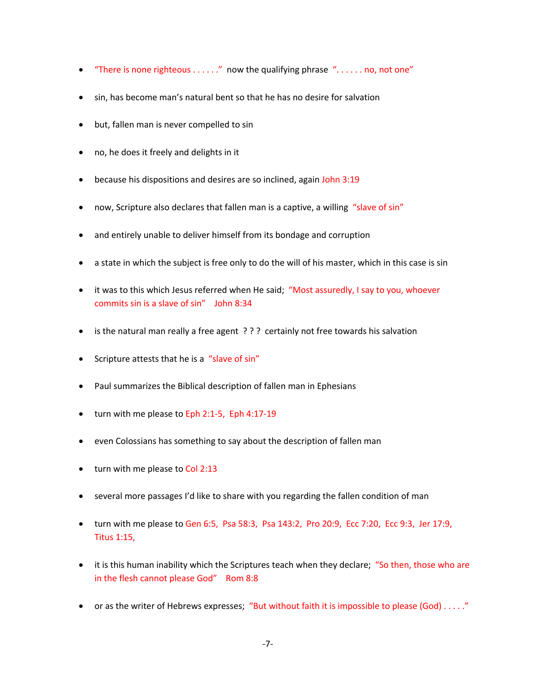- "There is none righteous . . . . . ." now the qualifying phrase ". . . . . . no, not one"
- sin, has become man's natural bent so that he has no desire for salvation
- but, fallen man is never compelled to sin
- no, he does it freely and delights in it
- because his dispositions and desires are so inclined, again John 3:19
- now, Scripture also declares that fallen man is a captive, a willing "slave of sin"
- and entirely unable to deliver himself from its bondage and corruption
- a state in which the subject is free only to do the will of his master, which in this case is sin
- it was to this which Jesus referred when He said; "Most assuredly, I say to you, whoever commits sin is a slave of sin" John 8:34
- is the natural man really a free agent ??? certainly not free towards his salvation
- Scripture attests that he is a "slave of sin"
- Paul summarizes the Biblical description of fallen man in Ephesians
- turn with me please to Eph 2:1-5, Eph 4:17-19
- even Colossians has something to say about the description of fallen man
- turn with me please to Col 2:13
- several more passages I'd like to share with you regarding the fallen condition of man
- turn with me please to Gen 6:5, Psa 58:3, Psa 143:2, Pro 20:9, Ecc 7:20, Ecc 9:3, Jer 17:9, Titus 1:15,
- it is this human inability which the Scriptures teach when they declare; "So then, those who are in the flesh cannot please God" Rom 8:8
- or as the writer of Hebrews expresses; "But without faith it is impossible to please (God)  $\dots$ ."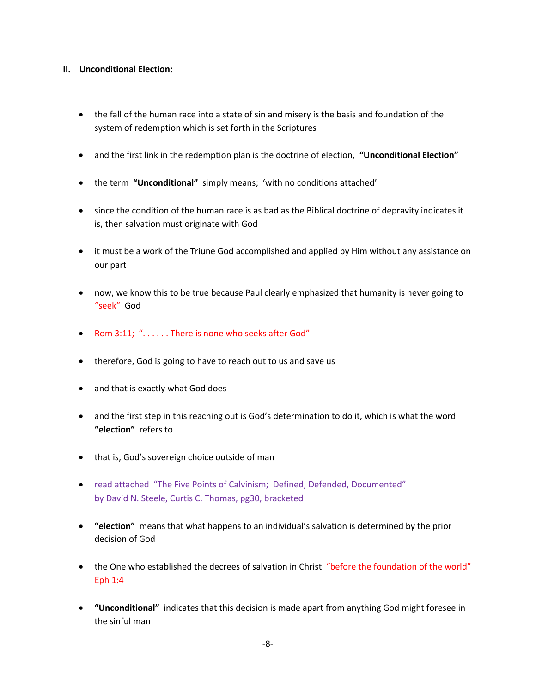### **II. Unconditional Election:**

- the fall of the human race into a state of sin and misery is the basis and foundation of the system of redemption which is set forth in the Scriptures
- and the first link in the redemption plan is the doctrine of election, **"Unconditional Election"**
- the term **"Unconditional"** simply means; 'with no conditions attached'
- since the condition of the human race is as bad as the Biblical doctrine of depravity indicates it is, then salvation must originate with God
- it must be a work of the Triune God accomplished and applied by Him without any assistance on our part
- now, we know this to be true because Paul clearly emphasized that humanity is never going to "seek" God
- Rom 3:11; ". . . . . . There is none who seeks after God"
- therefore, God is going to have to reach out to us and save us
- and that is exactly what God does
- and the first step in this reaching out is God's determination to do it, which is what the word **"election"** refers to
- that is, God's sovereign choice outside of man
- read attached "The Five Points of Calvinism; Defined, Defended, Documented" by David N. Steele, Curtis C. Thomas, pg30, bracketed
- **"election"** means that what happens to an individual's salvation is determined by the prior decision of God
- the One who established the decrees of salvation in Christ "before the foundation of the world" Eph 1:4
- **"Unconditional"** indicates that this decision is made apart from anything God might foresee in the sinful man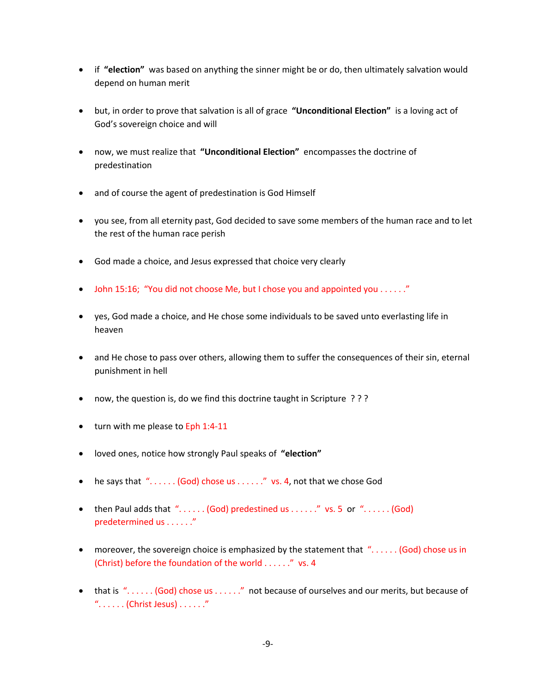- if **"election"** was based on anything the sinner might be or do, then ultimately salvation would depend on human merit
- but, in order to prove that salvation is all of grace **"Unconditional Election"** is a loving act of God's sovereign choice and will
- now, we must realize that **"Unconditional Election"** encompasses the doctrine of predestination
- and of course the agent of predestination is God Himself
- you see, from all eternity past, God decided to save some members of the human race and to let the rest of the human race perish
- God made a choice, and Jesus expressed that choice very clearly
- John 15:16; "You did not choose Me, but I chose you and appointed you . . . . . ."
- yes, God made a choice, and He chose some individuals to be saved unto everlasting life in heaven
- and He chose to pass over others, allowing them to suffer the consequences of their sin, eternal punishment in hell
- now, the question is, do we find this doctrine taught in Scripture ???
- turn with me please to Eph 1:4-11
- loved ones, notice how strongly Paul speaks of **"election"**
- he says that  $\sqrt[n]{\ldots}$  (God) chose us  $\ldots$  ... ...  $\sqrt[n]{\ldots}$  vs. 4, not that we chose God
- then Paul adds that  $\lq\lq$ ..... (God) predestined us ......" vs. 5 or  $\lq\lq$ ..... (God) predetermined us . . . . . ."
- moreover, the sovereign choice is emphasized by the statement that "...... (God) chose us in (Christ) before the foundation of the world . . . . . ." vs. 4
- that is "...... (God) chose us ......" not because of ourselves and our merits, but because of  $"$ . . . . . . (Christ Jesus) . . . . . . . "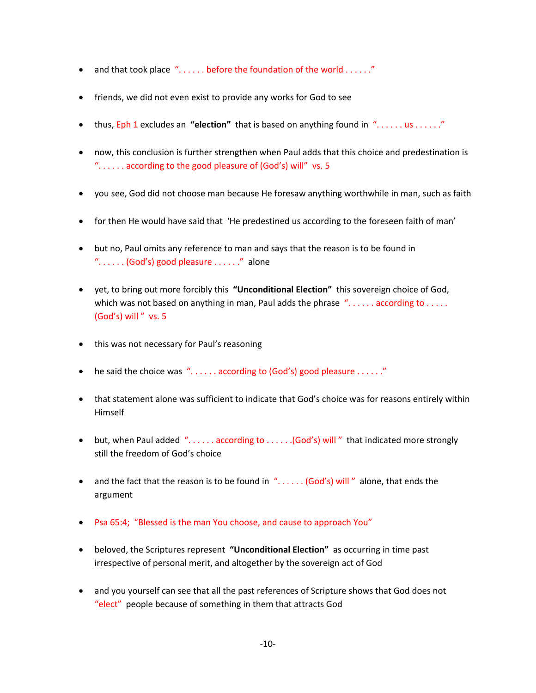- and that took place "...... before the foundation of the world ......"
- friends, we did not even exist to provide any works for God to see
- thus, Eph 1 excludes an **"election"** that is based on anything found in ". . . . . . us . . . . . ."
- now, this conclusion is further strengthen when Paul adds that this choice and predestination is ". . . . . . according to the good pleasure of (God's) will" vs. 5
- you see, God did not choose man because He foresaw anything worthwhile in man, such as faith
- for then He would have said that 'He predestined us according to the foreseen faith of man'
- but no, Paul omits any reference to man and says that the reason is to be found in "...... (God's) good pleasure ......" alone
- yet, to bring out more forcibly this **"Unconditional Election"** this sovereign choice of God, which was not based on anything in man, Paul adds the phrase "...... according to ..... (God's) will " vs. 5
- this was not necessary for Paul's reasoning
- he said the choice was  $\lq\lq\lq\lq$ ..... according to (God's) good pleasure ......."
- that statement alone was sufficient to indicate that God's choice was for reasons entirely within Himself
- but, when Paul added ". . . . . . according to . . . . . . (God's) will " that indicated more strongly still the freedom of God's choice
- and the fact that the reason is to be found in  $\ldots$  (God's) will " alone, that ends the argument
- Psa 65:4; "Blessed is the man You choose, and cause to approach You"
- beloved, the Scriptures represent **"Unconditional Election"** as occurring in time past irrespective of personal merit, and altogether by the sovereign act of God
- and you yourself can see that all the past references of Scripture shows that God does not "elect" people because of something in them that attracts God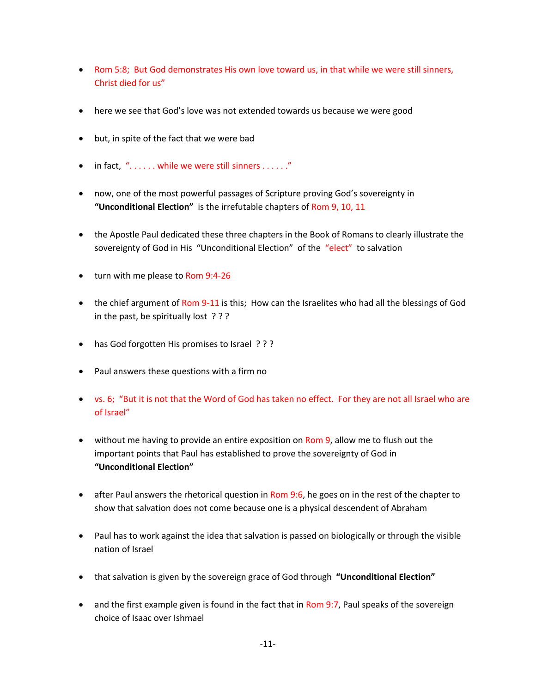- Rom 5:8; But God demonstrates His own love toward us, in that while we were still sinners, Christ died for us"
- here we see that God's love was not extended towards us because we were good
- but, in spite of the fact that we were bad
- in fact,  $"$ ...... while we were still sinners ......."
- now, one of the most powerful passages of Scripture proving God's sovereignty in **"Unconditional Election"** is the irrefutable chapters of Rom 9, 10, 11
- the Apostle Paul dedicated these three chapters in the Book of Romans to clearly illustrate the sovereignty of God in His "Unconditional Election" of the "elect" to salvation
- turn with me please to Rom 9:4-26
- the chief argument of Rom 9-11 is this; How can the Israelites who had all the blessings of God in the past, be spiritually lost ? ? ?
- has God forgotten His promises to Israel ? ? ?
- Paul answers these questions with a firm no
- vs. 6; "But it is not that the Word of God has taken no effect. For they are not all Israel who are of Israel"
- without me having to provide an entire exposition on Rom 9, allow me to flush out the important points that Paul has established to prove the sovereignty of God in **"Unconditional Election"**
- after Paul answers the rhetorical question in Rom 9:6, he goes on in the rest of the chapter to show that salvation does not come because one is a physical descendent of Abraham
- Paul has to work against the idea that salvation is passed on biologically or through the visible nation of Israel
- that salvation is given by the sovereign grace of God through **"Unconditional Election"**
- and the first example given is found in the fact that in Rom 9:7, Paul speaks of the sovereign choice of Isaac over Ishmael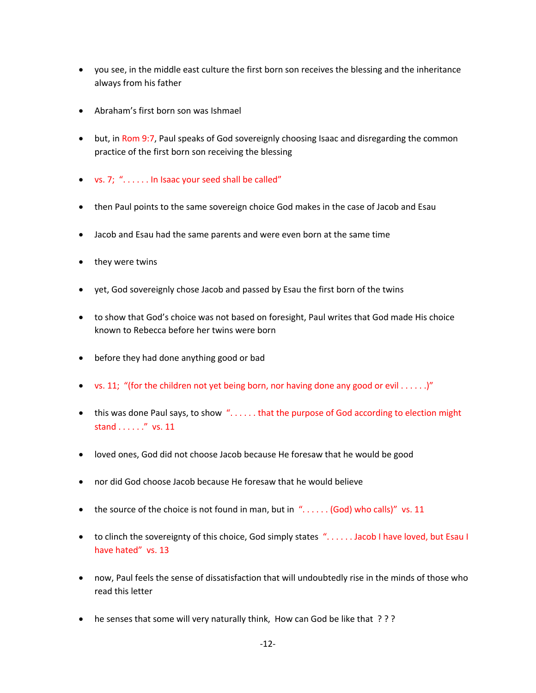- you see, in the middle east culture the first born son receives the blessing and the inheritance always from his father
- Abraham's first born son was Ishmael
- but, in Rom 9:7, Paul speaks of God sovereignly choosing Isaac and disregarding the common practice of the first born son receiving the blessing
- vs. 7; ". . . . . . In Isaac your seed shall be called"
- then Paul points to the same sovereign choice God makes in the case of Jacob and Esau
- Jacob and Esau had the same parents and were even born at the same time
- they were twins
- yet, God sovereignly chose Jacob and passed by Esau the first born of the twins
- to show that God's choice was not based on foresight, Paul writes that God made His choice known to Rebecca before her twins were born
- before they had done anything good or bad
- vs. 11; "(for the children not yet being born, nor having done any good or evil  $\dots$ )"
- this was done Paul says, to show "...... that the purpose of God according to election might stand . . . . . ." vs. 11
- loved ones, God did not choose Jacob because He foresaw that he would be good
- nor did God choose Jacob because He foresaw that he would believe
- the source of the choice is not found in man, but in  $\ldots$  ... . . . (God) who calls)" vs. 11
- to clinch the sovereignty of this choice, God simply states ". . . . . . Jacob I have loved, but Esau I have hated" vs. 13
- now, Paul feels the sense of dissatisfaction that will undoubtedly rise in the minds of those who read this letter
- he senses that some will very naturally think, How can God be like that ???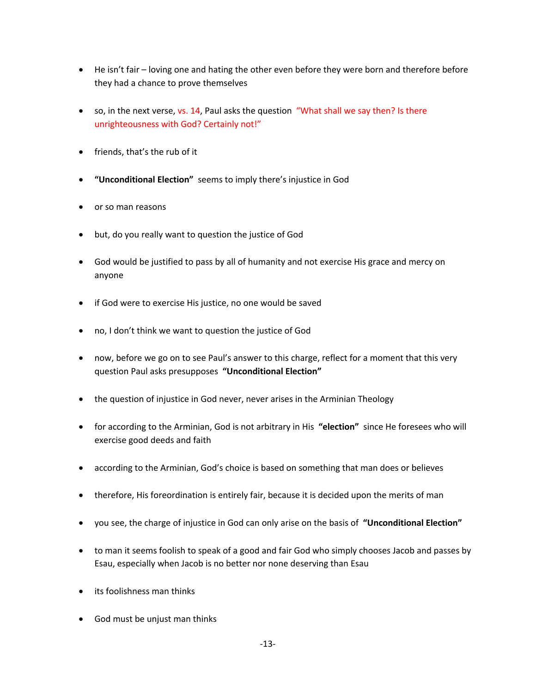- He isn't fair loving one and hating the other even before they were born and therefore before they had a chance to prove themselves
- so, in the next verse, vs. 14, Paul asks the question "What shall we say then? Is there unrighteousness with God? Certainly not!"
- friends, that's the rub of it
- **"Unconditional Election"** seems to imply there's injustice in God
- or so man reasons
- but, do you really want to question the justice of God
- God would be justified to pass by all of humanity and not exercise His grace and mercy on anyone
- if God were to exercise His justice, no one would be saved
- no, I don't think we want to question the justice of God
- now, before we go on to see Paul's answer to this charge, reflect for a moment that this very question Paul asks presupposes **"Unconditional Election"**
- the question of injustice in God never, never arises in the Arminian Theology
- for according to the Arminian, God is not arbitrary in His **"election"** since He foresees who will exercise good deeds and faith
- according to the Arminian, God's choice is based on something that man does or believes
- therefore, His foreordination is entirely fair, because it is decided upon the merits of man
- you see, the charge of injustice in God can only arise on the basis of **"Unconditional Election"**
- to man it seems foolish to speak of a good and fair God who simply chooses Jacob and passes by Esau, especially when Jacob is no better nor none deserving than Esau
- its foolishness man thinks
- God must be unjust man thinks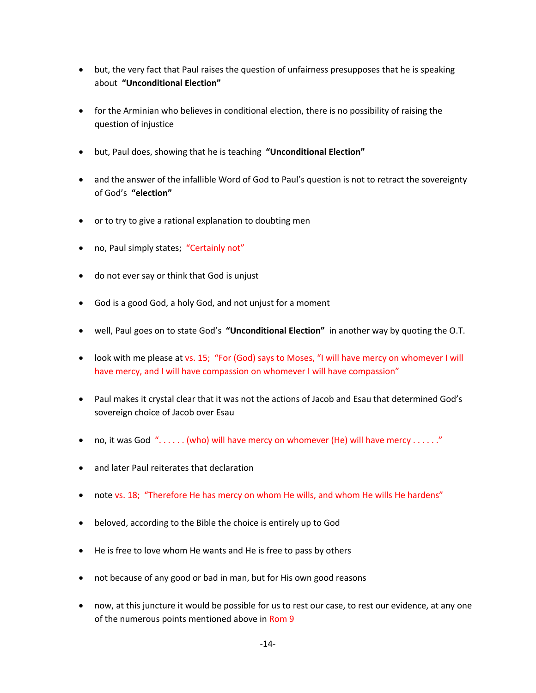- but, the very fact that Paul raises the question of unfairness presupposes that he is speaking about **"Unconditional Election"**
- for the Arminian who believes in conditional election, there is no possibility of raising the question of injustice
- but, Paul does, showing that he is teaching **"Unconditional Election"**
- and the answer of the infallible Word of God to Paul's question is not to retract the sovereignty of God's **"election"**
- or to try to give a rational explanation to doubting men
- no, Paul simply states; "Certainly not"
- do not ever say or think that God is unjust
- God is a good God, a holy God, and not unjust for a moment
- well, Paul goes on to state God's **"Unconditional Election"** in another way by quoting the O.T.
- look with me please at vs. 15; "For (God) says to Moses, "I will have mercy on whomever I will have mercy, and I will have compassion on whomever I will have compassion"
- Paul makes it crystal clear that it was not the actions of Jacob and Esau that determined God's sovereign choice of Jacob over Esau
- no, it was God  $'$ ...... (who) will have mercy on whomever (He) will have mercy ......"
- and later Paul reiterates that declaration
- note vs. 18; "Therefore He has mercy on whom He wills, and whom He wills He hardens"
- beloved, according to the Bible the choice is entirely up to God
- He is free to love whom He wants and He is free to pass by others
- not because of any good or bad in man, but for His own good reasons
- now, at this juncture it would be possible for us to rest our case, to rest our evidence, at any one of the numerous points mentioned above in Rom 9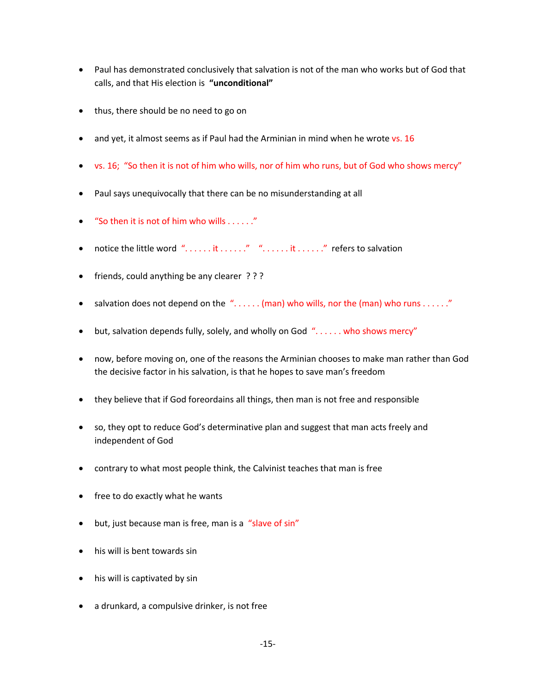- Paul has demonstrated conclusively that salvation is not of the man who works but of God that calls, and that His election is **"unconditional"**
- thus, there should be no need to go on
- and yet, it almost seems as if Paul had the Arminian in mind when he wrote vs. 16
- vs. 16; "So then it is not of him who wills, nor of him who runs, but of God who shows mercy"
- Paul says unequivocally that there can be no misunderstanding at all
- "So then it is not of him who wills . . . . . ."
- notice the little word "......it ......." "......it ......." refers to salvation
- friends, could anything be any clearer ???
- salvation does not depend on the ". . . . . . (man) who wills, nor the (man) who runs . . . . . ."
- but, salvation depends fully, solely, and wholly on God "...... who shows mercy"
- now, before moving on, one of the reasons the Arminian chooses to make man rather than God the decisive factor in his salvation, is that he hopes to save man's freedom
- they believe that if God foreordains all things, then man is not free and responsible
- so, they opt to reduce God's determinative plan and suggest that man acts freely and independent of God
- contrary to what most people think, the Calvinist teaches that man is free
- free to do exactly what he wants
- but, just because man is free, man is a "slave of sin"
- his will is bent towards sin
- his will is captivated by sin
- a drunkard, a compulsive drinker, is not free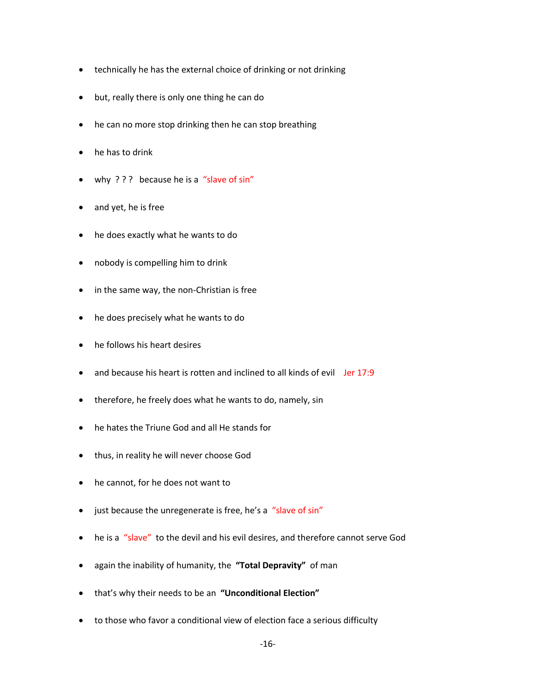- technically he has the external choice of drinking or not drinking
- but, really there is only one thing he can do
- he can no more stop drinking then he can stop breathing
- he has to drink
- why ? ? ? because he is a "slave of sin"
- and yet, he is free
- he does exactly what he wants to do
- nobody is compelling him to drink
- in the same way, the non-Christian is free
- he does precisely what he wants to do
- he follows his heart desires
- and because his heart is rotten and inclined to all kinds of evil Jer 17:9
- therefore, he freely does what he wants to do, namely, sin
- he hates the Triune God and all He stands for
- thus, in reality he will never choose God
- he cannot, for he does not want to
- just because the unregenerate is free, he's a "slave of sin"
- he is a "slave" to the devil and his evil desires, and therefore cannot serve God
- again the inability of humanity, the **"Total Depravity"** of man
- that's why their needs to be an **"Unconditional Election"**
- to those who favor a conditional view of election face a serious difficulty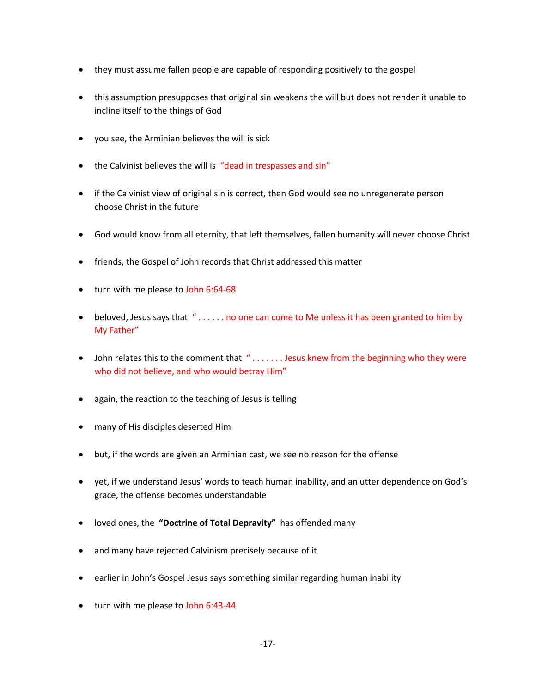- they must assume fallen people are capable of responding positively to the gospel
- this assumption presupposes that original sin weakens the will but does not render it unable to incline itself to the things of God
- you see, the Arminian believes the will is sick
- the Calvinist believes the will is "dead in trespasses and sin"
- if the Calvinist view of original sin is correct, then God would see no unregenerate person choose Christ in the future
- God would know from all eternity, that left themselves, fallen humanity will never choose Christ
- friends, the Gospel of John records that Christ addressed this matter
- turn with me please to John 6:64-68
- beloved, Jesus says that " . . . . . . no one can come to Me unless it has been granted to him by My Father"
- John relates this to the comment that "....... Jesus knew from the beginning who they were who did not believe, and who would betray Him"
- again, the reaction to the teaching of Jesus is telling
- many of His disciples deserted Him
- but, if the words are given an Arminian cast, we see no reason for the offense
- yet, if we understand Jesus' words to teach human inability, and an utter dependence on God's grace, the offense becomes understandable
- loved ones, the **"Doctrine of Total Depravity"** has offended many
- and many have rejected Calvinism precisely because of it
- earlier in John's Gospel Jesus says something similar regarding human inability
- turn with me please to John 6:43-44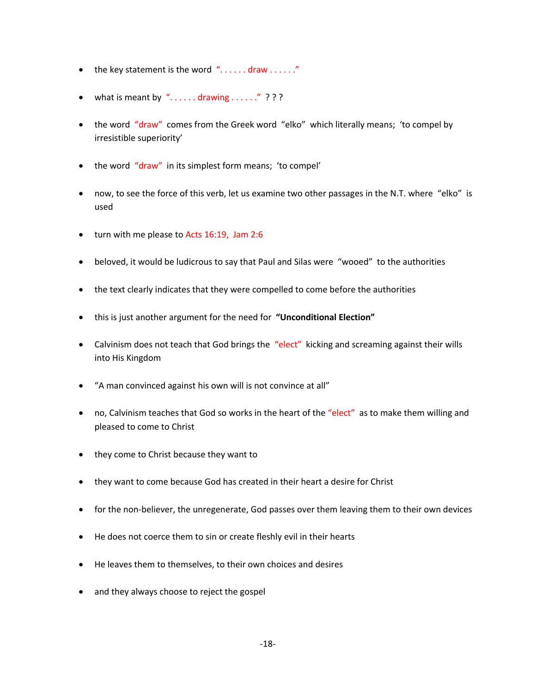- the key statement is the word  $"$ ......draw ......."
- what is meant by "...... drawing ......" ? ? ?
- the word "draw" comes from the Greek word "elko" which literally means; 'to compel by irresistible superiority'
- the word "draw" in its simplest form means; 'to compel'
- now, to see the force of this verb, let us examine two other passages in the N.T. where "elko" is used
- turn with me please to Acts 16:19, Jam 2:6
- beloved, it would be ludicrous to say that Paul and Silas were "wooed" to the authorities
- the text clearly indicates that they were compelled to come before the authorities
- this is just another argument for the need for **"Unconditional Election"**
- Calvinism does not teach that God brings the "elect" kicking and screaming against their wills into His Kingdom
- "A man convinced against his own will is not convince at all"
- no, Calvinism teaches that God so works in the heart of the "elect" as to make them willing and pleased to come to Christ
- they come to Christ because they want to
- they want to come because God has created in their heart a desire for Christ
- for the non-believer, the unregenerate, God passes over them leaving them to their own devices
- He does not coerce them to sin or create fleshly evil in their hearts
- He leaves them to themselves, to their own choices and desires
- and they always choose to reject the gospel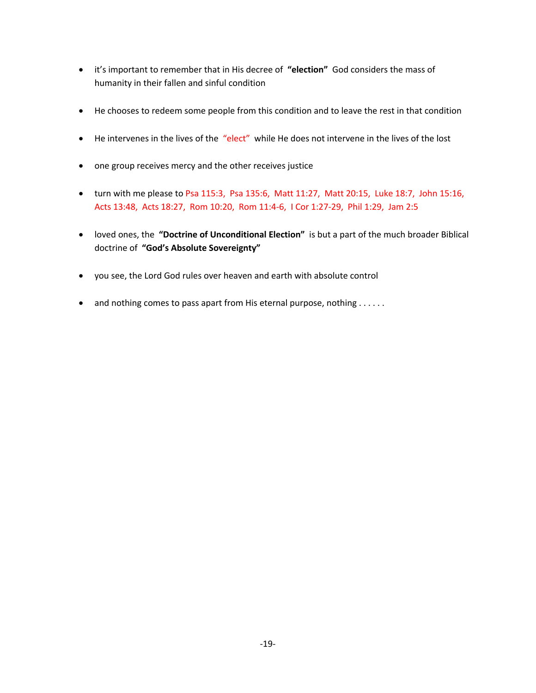- it's important to remember that in His decree of **"election"** God considers the mass of humanity in their fallen and sinful condition
- He chooses to redeem some people from this condition and to leave the rest in that condition
- He intervenes in the lives of the "elect" while He does not intervene in the lives of the lost
- one group receives mercy and the other receives justice
- turn with me please to Psa 115:3, Psa 135:6, Matt 11:27, Matt 20:15, Luke 18:7, John 15:16, Acts 13:48, Acts 18:27, Rom 10:20, Rom 11:4-6, I Cor 1:27-29, Phil 1:29, Jam 2:5
- loved ones, the **"Doctrine of Unconditional Election"** is but a part of the much broader Biblical doctrine of **"God's Absolute Sovereignty"**
- you see, the Lord God rules over heaven and earth with absolute control
- and nothing comes to pass apart from His eternal purpose, nothing . . . . . .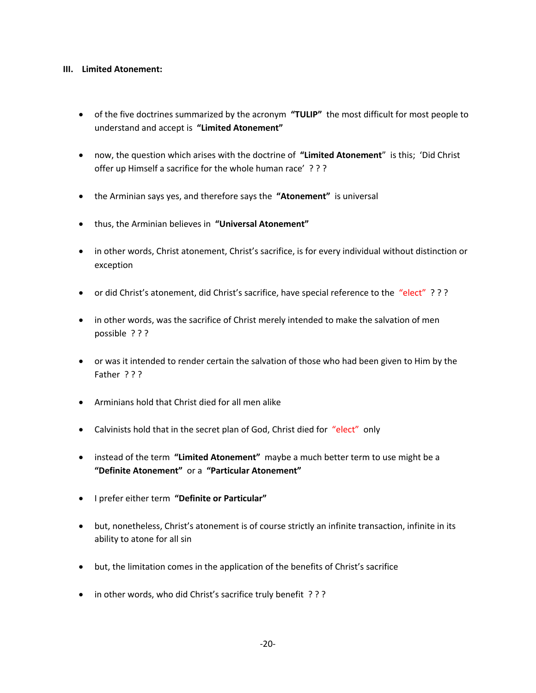#### **III. Limited Atonement:**

- of the five doctrines summarized by the acronym **"TULIP"** the most difficult for most people to understand and accept is **"Limited Atonement"**
- now, the question which arises with the doctrine of **"Limited Atonement**" is this; 'Did Christ offer up Himself a sacrifice for the whole human race' ? ? ?
- the Arminian says yes, and therefore says the **"Atonement"** is universal
- thus, the Arminian believes in **"Universal Atonement"**
- in other words, Christ atonement, Christ's sacrifice, is for every individual without distinction or exception
- or did Christ's atonement, did Christ's sacrifice, have special reference to the "elect" ???
- in other words, was the sacrifice of Christ merely intended to make the salvation of men possible ? ? ?
- or was it intended to render certain the salvation of those who had been given to Him by the Father ? ? ?
- Arminians hold that Christ died for all men alike
- Calvinists hold that in the secret plan of God, Christ died for "elect" only
- instead of the term **"Limited Atonement"** maybe a much better term to use might be a **"Definite Atonement"** or a **"Particular Atonement"**
- I prefer either term **"Definite or Particular"**
- but, nonetheless, Christ's atonement is of course strictly an infinite transaction, infinite in its ability to atone for all sin
- but, the limitation comes in the application of the benefits of Christ's sacrifice
- in other words, who did Christ's sacrifice truly benefit ???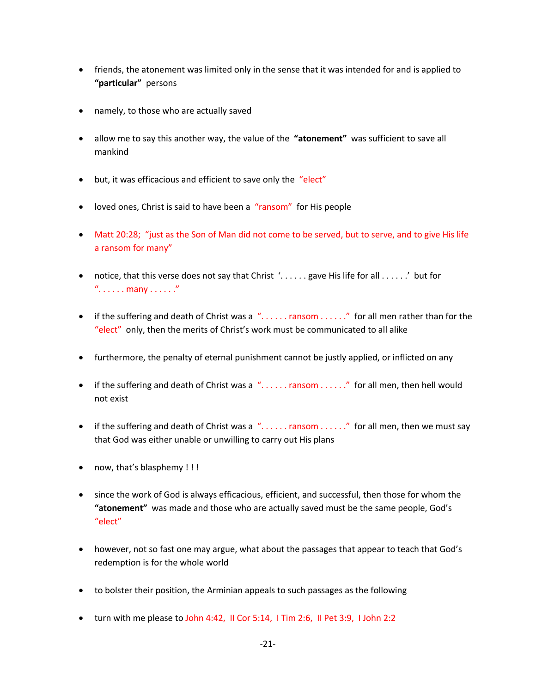- friends, the atonement was limited only in the sense that it was intended for and is applied to **"particular"** persons
- namely, to those who are actually saved
- allow me to say this another way, the value of the **"atonement"** was sufficient to save all mankind
- but, it was efficacious and efficient to save only the "elect"
- loved ones, Christ is said to have been a "ransom" for His people
- Matt 20:28; "just as the Son of Man did not come to be served, but to serve, and to give His life a ransom for many"
- notice, that this verse does not say that Christ '. . . . . . gave His life for all . . . . . .' but for ". . . . . . many . . . . . ."
- if the suffering and death of Christ was a ". . . . . . ransom . . . . . ." for all men rather than for the "elect" only, then the merits of Christ's work must be communicated to all alike
- furthermore, the penalty of eternal punishment cannot be justly applied, or inflicted on any
- if the suffering and death of Christ was a  $\ldots$  . . . . . ransom . . . . . . " for all men, then hell would not exist
- if the suffering and death of Christ was a "...... ransom ......" for all men, then we must say that God was either unable or unwilling to carry out His plans
- now, that's blasphemy !!!
- since the work of God is always efficacious, efficient, and successful, then those for whom the **"atonement"** was made and those who are actually saved must be the same people, God's "elect"
- however, not so fast one may argue, what about the passages that appear to teach that God's redemption is for the whole world
- to bolster their position, the Arminian appeals to such passages as the following
- turn with me please to John 4:42, II Cor 5:14, I Tim 2:6, II Pet 3:9, I John 2:2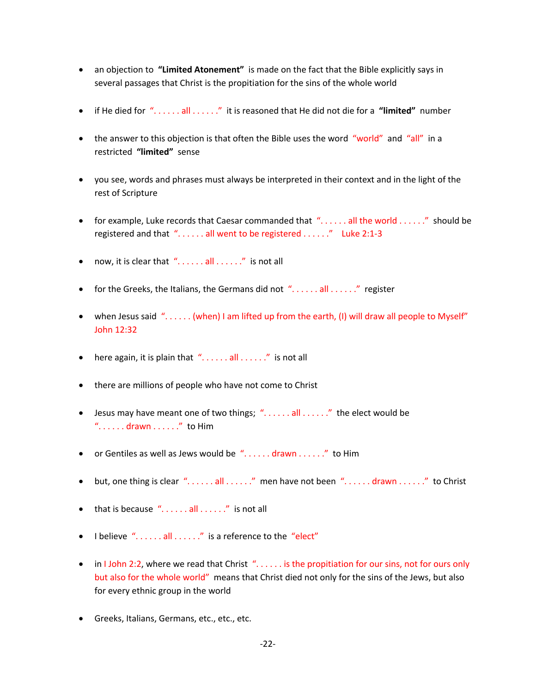- an objection to **"Limited Atonement"** is made on the fact that the Bible explicitly says in several passages that Christ is the propitiation for the sins of the whole world
- if He died for ". . . . . . all . . . . . ." it is reasoned that He did not die for a **"limited"** number
- the answer to this objection is that often the Bible uses the word "world" and "all" in a restricted **"limited"** sense
- you see, words and phrases must always be interpreted in their context and in the light of the rest of Scripture
- for example, Luke records that Caesar commanded that  $\ell$ ...... all the world ......" should be registered and that ". . . . . . all went to be registered . . . . . ." Luke 2:1-3
- now, it is clear that  $\sqrt[n]{\ldots}$  all  $\ldots$  ... ..." is not all
- for the Greeks, the Italians, the Germans did not  $\ell$ ...... all ......" register
- when Jesus said "...... (when) I am lifted up from the earth, (I) will draw all people to Myself" John 12:32
- here again, it is plain that  $"$ ...... all ......" is not all
- there are millions of people who have not come to Christ
- Jesus may have meant one of two things; ". . . . . . all . . . . . . " the elect would be  $"$ ...... drawn ......." to Him
- or Gentiles as well as Jews would be  $\lq\ldots$  drawn  $\ldots$  ... ...  $\ldots$  to Him
- but, one thing is clear ". . . . . . all . . . . . ." men have not been ". . . . . . drawn . . . . . ." to Christ
- $\bullet$  that is because "......all ......" is not all
- I believe "......all ......" is a reference to the "elect"
- in I John 2:2, where we read that Christ "...... is the propitiation for our sins, not for ours only but also for the whole world" means that Christ died not only for the sins of the Jews, but also for every ethnic group in the world
- Greeks, Italians, Germans, etc., etc., etc.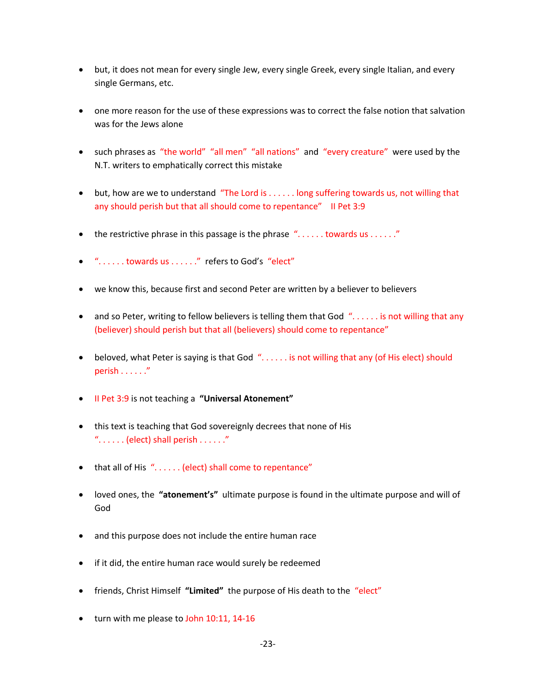- but, it does not mean for every single Jew, every single Greek, every single Italian, and every single Germans, etc.
- one more reason for the use of these expressions was to correct the false notion that salvation was for the Jews alone
- such phrases as "the world" "all men" "all nations" and "every creature" were used by the N.T. writers to emphatically correct this mistake
- but, how are we to understand "The Lord is . . . . . . long suffering towards us, not willing that any should perish but that all should come to repentance" II Pet 3:9
- the restrictive phrase in this passage is the phrase  $"$ ...... towards us ......"
- ". . . . . . towards us . . . . . ." refers to God's "elect"
- we know this, because first and second Peter are written by a believer to believers
- and so Peter, writing to fellow believers is telling them that God "...... is not willing that any (believer) should perish but that all (believers) should come to repentance"
- beloved, what Peter is saying is that God "...... is not willing that any (of His elect) should perish . . . . . . "
- II Pet 3:9 is not teaching a **"Universal Atonement"**
- this text is teaching that God sovereignly decrees that none of His ". . . . . . (elect) shall perish . . . . . ."
- that all of His "...... (elect) shall come to repentance"
- loved ones, the **"atonement's"** ultimate purpose is found in the ultimate purpose and will of God
- and this purpose does not include the entire human race
- if it did, the entire human race would surely be redeemed
- friends, Christ Himself **"Limited"** the purpose of His death to the "elect"
- turn with me please to John 10:11, 14-16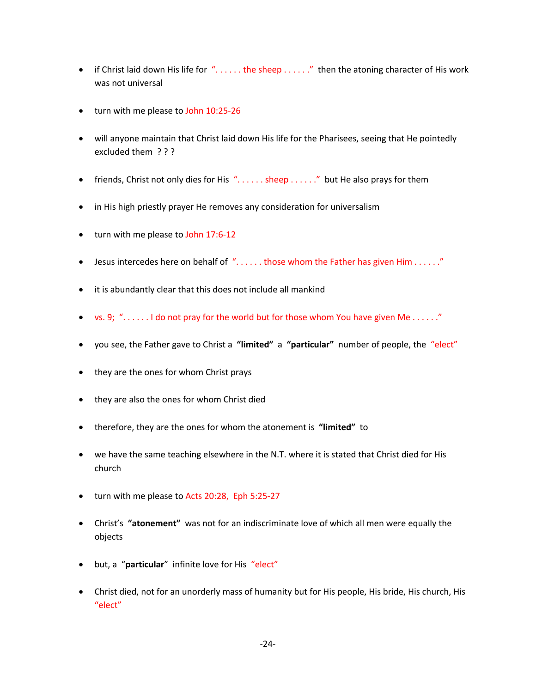- if Christ laid down His life for " $\dots$ .... the sheep  $\dots$ ..." then the atoning character of His work was not universal
- turn with me please to John 10:25-26
- will anyone maintain that Christ laid down His life for the Pharisees, seeing that He pointedly excluded them ? ? ?
- friends, Christ not only dies for His  $\ldots$ ... sheep ......." but He also prays for them
- in His high priestly prayer He removes any consideration for universalism
- turn with me please to John 17:6-12
- Jesus intercedes here on behalf of "......those whom the Father has given Him ......"
- it is abundantly clear that this does not include all mankind
- vs. 9;  $"$ ...... I do not pray for the world but for those whom You have given Me ......"
- you see, the Father gave to Christ a **"limited"** a **"particular"** number of people, the "elect"
- they are the ones for whom Christ prays
- they are also the ones for whom Christ died
- therefore, they are the ones for whom the atonement is **"limited"** to
- we have the same teaching elsewhere in the N.T. where it is stated that Christ died for His church
- turn with me please to Acts 20:28, Eph 5:25-27
- Christ's **"atonement"** was not for an indiscriminate love of which all men were equally the objects
- but, a "**particular**" infinite love for His "elect"
- Christ died, not for an unorderly mass of humanity but for His people, His bride, His church, His "elect"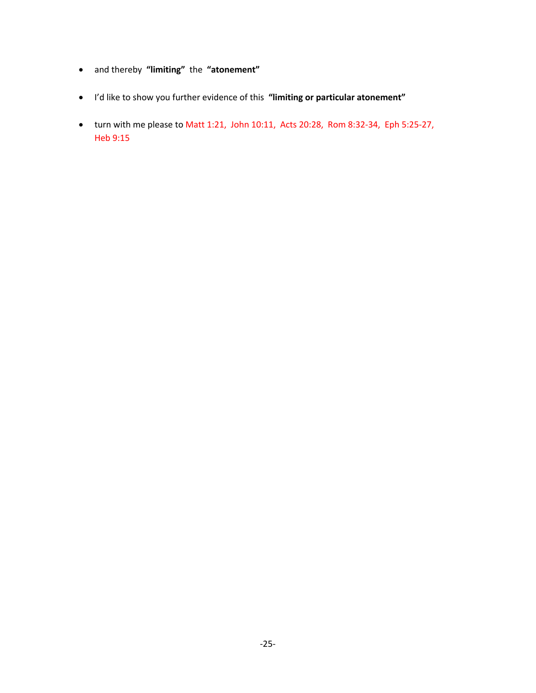- and thereby **"limiting"** the **"atonement"**
- I'd like to show you further evidence of this **"limiting or particular atonement"**
- turn with me please to Matt 1:21, John 10:11, Acts 20:28, Rom 8:32-34, Eph 5:25-27, Heb 9:15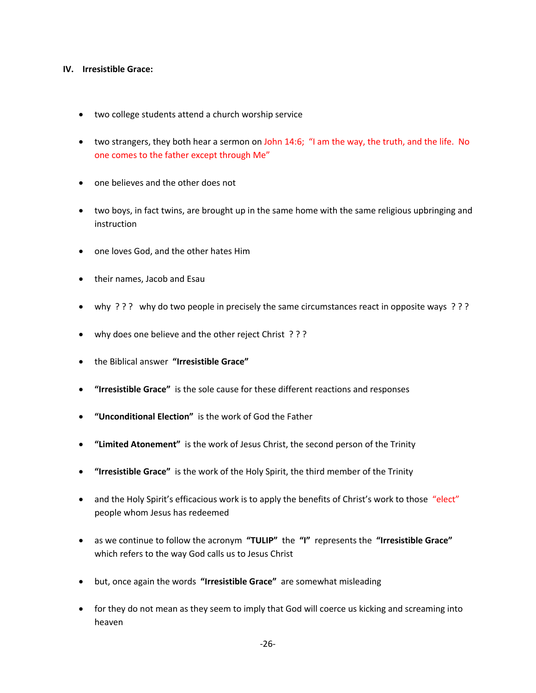#### **IV. Irresistible Grace:**

- two college students attend a church worship service
- two strangers, they both hear a sermon on John 14:6; "I am the way, the truth, and the life. No one comes to the father except through Me"
- one believes and the other does not
- two boys, in fact twins, are brought up in the same home with the same religious upbringing and instruction
- one loves God, and the other hates Him
- their names, Jacob and Esau
- why ? ? ? why do two people in precisely the same circumstances react in opposite ways ? ? ?
- why does one believe and the other reject Christ ???
- the Biblical answer **"Irresistible Grace"**
- **"Irresistible Grace"** is the sole cause for these different reactions and responses
- **"Unconditional Election"** is the work of God the Father
- **"Limited Atonement"** is the work of Jesus Christ, the second person of the Trinity
- **"Irresistible Grace"** is the work of the Holy Spirit, the third member of the Trinity
- and the Holy Spirit's efficacious work is to apply the benefits of Christ's work to those "elect" people whom Jesus has redeemed
- as we continue to follow the acronym **"TULIP"** the **"I"** represents the **"Irresistible Grace"** which refers to the way God calls us to Jesus Christ
- but, once again the words **"Irresistible Grace"** are somewhat misleading
- for they do not mean as they seem to imply that God will coerce us kicking and screaming into heaven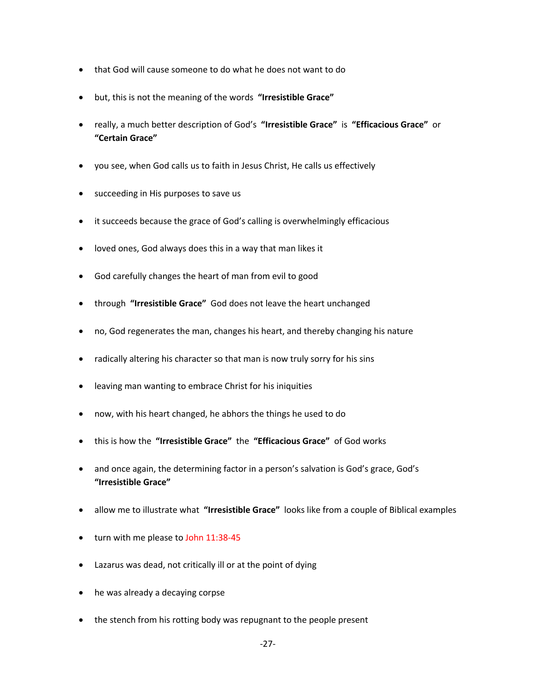- that God will cause someone to do what he does not want to do
- but, this is not the meaning of the words **"Irresistible Grace"**
- really, a much better description of God's **"Irresistible Grace"** is **"Efficacious Grace"** or **"Certain Grace"**
- you see, when God calls us to faith in Jesus Christ, He calls us effectively
- succeeding in His purposes to save us
- it succeeds because the grace of God's calling is overwhelmingly efficacious
- loved ones, God always does this in a way that man likes it
- God carefully changes the heart of man from evil to good
- through **"Irresistible Grace"** God does not leave the heart unchanged
- no, God regenerates the man, changes his heart, and thereby changing his nature
- radically altering his character so that man is now truly sorry for his sins
- leaving man wanting to embrace Christ for his iniquities
- now, with his heart changed, he abhors the things he used to do
- this is how the **"Irresistible Grace"** the **"Efficacious Grace"** of God works
- and once again, the determining factor in a person's salvation is God's grace, God's **"Irresistible Grace"**
- allow me to illustrate what **"Irresistible Grace"** looks like from a couple of Biblical examples
- turn with me please to John 11:38-45
- Lazarus was dead, not critically ill or at the point of dying
- he was already a decaying corpse
- the stench from his rotting body was repugnant to the people present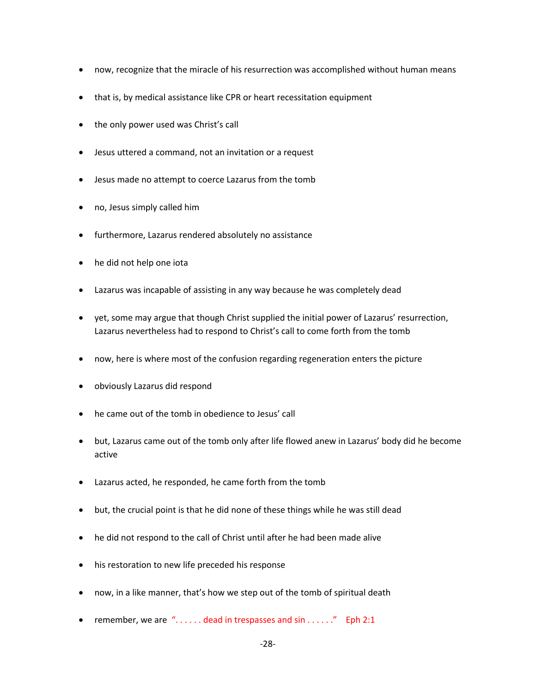- now, recognize that the miracle of his resurrection was accomplished without human means
- that is, by medical assistance like CPR or heart recessitation equipment
- the only power used was Christ's call
- Jesus uttered a command, not an invitation or a request
- Jesus made no attempt to coerce Lazarus from the tomb
- no, Jesus simply called him
- furthermore, Lazarus rendered absolutely no assistance
- he did not help one iota
- Lazarus was incapable of assisting in any way because he was completely dead
- yet, some may argue that though Christ supplied the initial power of Lazarus' resurrection, Lazarus nevertheless had to respond to Christ's call to come forth from the tomb
- now, here is where most of the confusion regarding regeneration enters the picture
- obviously Lazarus did respond
- he came out of the tomb in obedience to Jesus' call
- but, Lazarus came out of the tomb only after life flowed anew in Lazarus' body did he become active
- Lazarus acted, he responded, he came forth from the tomb
- but, the crucial point is that he did none of these things while he was still dead
- he did not respond to the call of Christ until after he had been made alive
- his restoration to new life preceded his response
- now, in a like manner, that's how we step out of the tomb of spiritual death
- remember, we are  $\degree$ ..... dead in trespasses and sin ......." Eph 2:1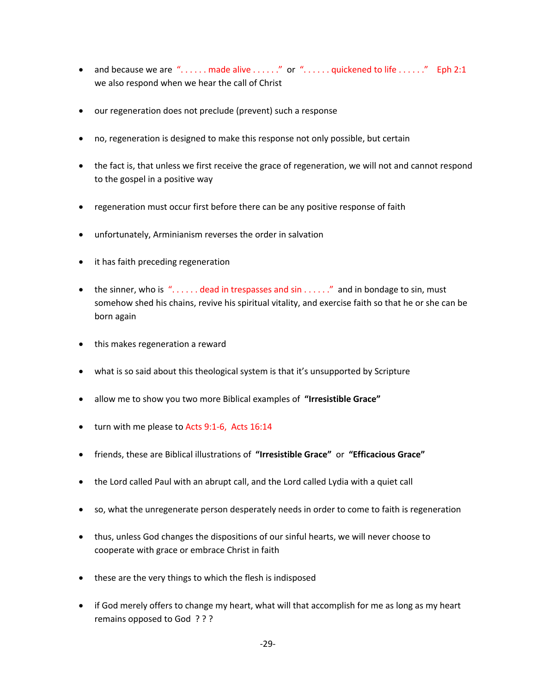- and because we are "...... made alive ......" or "...... quickened to life ......" Eph 2:1 we also respond when we hear the call of Christ
- our regeneration does not preclude (prevent) such a response
- no, regeneration is designed to make this response not only possible, but certain
- the fact is, that unless we first receive the grace of regeneration, we will not and cannot respond to the gospel in a positive way
- regeneration must occur first before there can be any positive response of faith
- unfortunately, Arminianism reverses the order in salvation
- it has faith preceding regeneration
- the sinner, who is  $\alpha$ ..... dead in trespasses and sin ......." and in bondage to sin, must somehow shed his chains, revive his spiritual vitality, and exercise faith so that he or she can be born again
- this makes regeneration a reward
- what is so said about this theological system is that it's unsupported by Scripture
- allow me to show you two more Biblical examples of **"Irresistible Grace"**
- turn with me please to Acts 9:1-6, Acts 16:14
- friends, these are Biblical illustrations of **"Irresistible Grace"** or **"Efficacious Grace"**
- the Lord called Paul with an abrupt call, and the Lord called Lydia with a quiet call
- so, what the unregenerate person desperately needs in order to come to faith is regeneration
- thus, unless God changes the dispositions of our sinful hearts, we will never choose to cooperate with grace or embrace Christ in faith
- these are the very things to which the flesh is indisposed
- if God merely offers to change my heart, what will that accomplish for me as long as my heart remains opposed to God ? ? ?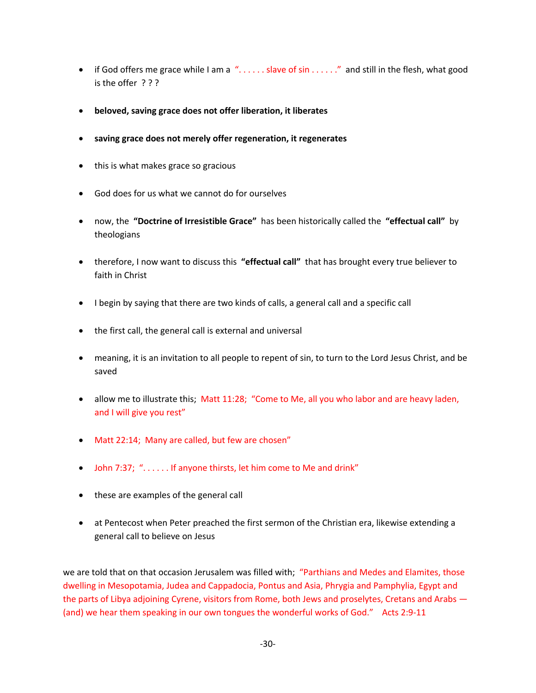- if God offers me grace while I am a "...... slave of sin ......" and still in the flesh, what good is the offer ? ? ?
- **beloved, saving grace does not offer liberation, it liberates**
- **saving grace does not merely offer regeneration, it regenerates**
- this is what makes grace so gracious
- God does for us what we cannot do for ourselves
- now, the **"Doctrine of Irresistible Grace"** has been historically called the **"effectual call"** by theologians
- therefore, I now want to discuss this **"effectual call"** that has brought every true believer to faith in Christ
- I begin by saying that there are two kinds of calls, a general call and a specific call
- the first call, the general call is external and universal
- meaning, it is an invitation to all people to repent of sin, to turn to the Lord Jesus Christ, and be saved
- allow me to illustrate this; Matt 11:28; "Come to Me, all you who labor and are heavy laden, and I will give you rest"
- Matt 22:14; Many are called, but few are chosen"
- John 7:37; "...... If anyone thirsts, let him come to Me and drink"
- these are examples of the general call
- at Pentecost when Peter preached the first sermon of the Christian era, likewise extending a general call to believe on Jesus

we are told that on that occasion Jerusalem was filled with; "Parthians and Medes and Elamites, those dwelling in Mesopotamia, Judea and Cappadocia, Pontus and Asia, Phrygia and Pamphylia, Egypt and the parts of Libya adjoining Cyrene, visitors from Rome, both Jews and proselytes, Cretans and Arabs — (and) we hear them speaking in our own tongues the wonderful works of God." Acts 2:9-11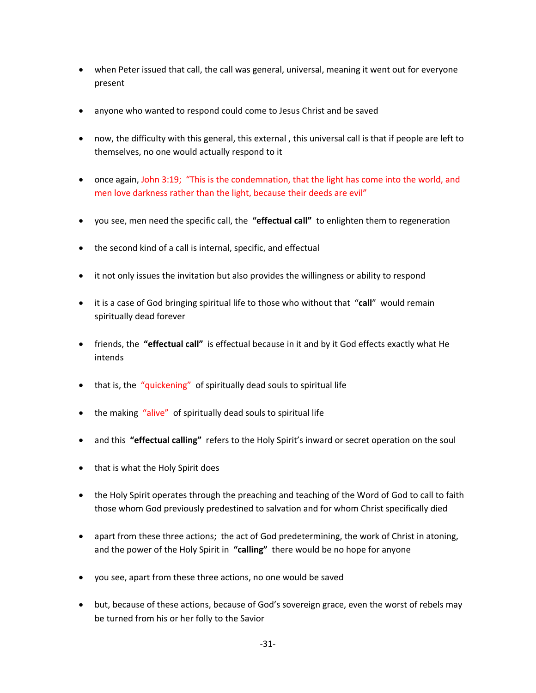- when Peter issued that call, the call was general, universal, meaning it went out for everyone present
- anyone who wanted to respond could come to Jesus Christ and be saved
- now, the difficulty with this general, this external , this universal call is that if people are left to themselves, no one would actually respond to it
- once again, John 3:19; "This is the condemnation, that the light has come into the world, and men love darkness rather than the light, because their deeds are evil"
- you see, men need the specific call, the **"effectual call"** to enlighten them to regeneration
- the second kind of a call is internal, specific, and effectual
- it not only issues the invitation but also provides the willingness or ability to respond
- it is a case of God bringing spiritual life to those who without that "**call**" would remain spiritually dead forever
- friends, the **"effectual call"** is effectual because in it and by it God effects exactly what He intends
- that is, the "quickening" of spiritually dead souls to spiritual life
- the making "alive" of spiritually dead souls to spiritual life
- and this **"effectual calling"** refers to the Holy Spirit's inward or secret operation on the soul
- that is what the Holy Spirit does
- the Holy Spirit operates through the preaching and teaching of the Word of God to call to faith those whom God previously predestined to salvation and for whom Christ specifically died
- apart from these three actions; the act of God predetermining, the work of Christ in atoning, and the power of the Holy Spirit in **"calling"** there would be no hope for anyone
- you see, apart from these three actions, no one would be saved
- but, because of these actions, because of God's sovereign grace, even the worst of rebels may be turned from his or her folly to the Savior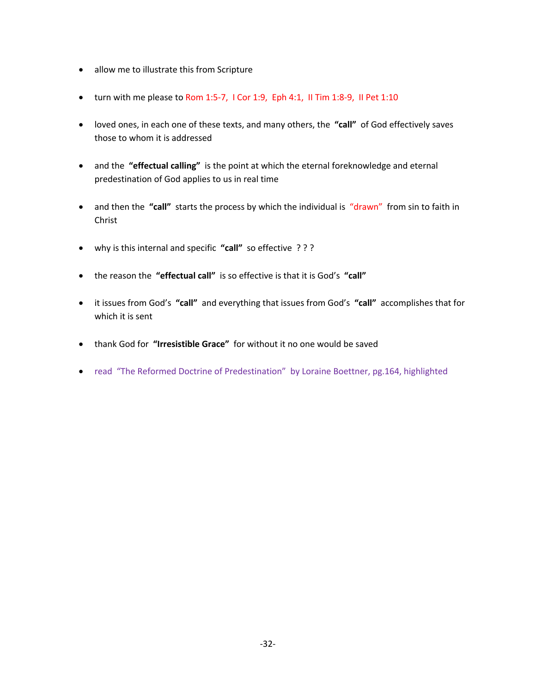- allow me to illustrate this from Scripture
- turn with me please to Rom 1:5-7, I Cor 1:9, Eph 4:1, II Tim 1:8-9, II Pet 1:10
- loved ones, in each one of these texts, and many others, the **"call"** of God effectively saves those to whom it is addressed
- and the **"effectual calling"** is the point at which the eternal foreknowledge and eternal predestination of God applies to us in real time
- and then the "call" starts the process by which the individual is "drawn" from sin to faith in Christ
- why is this internal and specific **"call"** so effective ? ? ?
- the reason the **"effectual call"** is so effective is that it is God's **"call"**
- it issues from God's **"call"** and everything that issues from God's **"call"** accomplishes that for which it is sent
- thank God for **"Irresistible Grace"** for without it no one would be saved
- read "The Reformed Doctrine of Predestination" by Loraine Boettner, pg.164, highlighted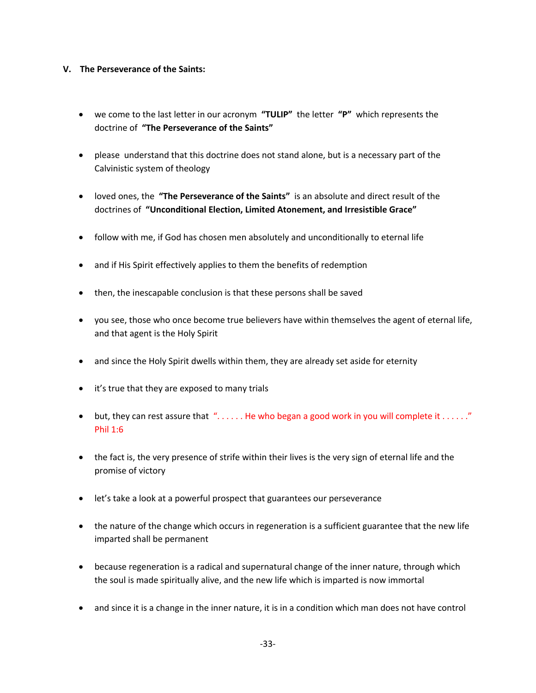### **V. The Perseverance of the Saints:**

- we come to the last letter in our acronym **"TULIP"** the letter **"P"** which represents the doctrine of **"The Perseverance of the Saints"**
- please understand that this doctrine does not stand alone, but is a necessary part of the Calvinistic system of theology
- loved ones, the **"The Perseverance of the Saints"** is an absolute and direct result of the doctrines of **"Unconditional Election, Limited Atonement, and Irresistible Grace"**
- follow with me, if God has chosen men absolutely and unconditionally to eternal life
- and if His Spirit effectively applies to them the benefits of redemption
- then, the inescapable conclusion is that these persons shall be saved
- you see, those who once become true believers have within themselves the agent of eternal life, and that agent is the Holy Spirit
- and since the Holy Spirit dwells within them, they are already set aside for eternity
- it's true that they are exposed to many trials
- but, they can rest assure that  $\alpha$ ..... He who began a good work in you will complete it ......" Phil 1:6
- the fact is, the very presence of strife within their lives is the very sign of eternal life and the promise of victory
- let's take a look at a powerful prospect that guarantees our perseverance
- the nature of the change which occurs in regeneration is a sufficient guarantee that the new life imparted shall be permanent
- because regeneration is a radical and supernatural change of the inner nature, through which the soul is made spiritually alive, and the new life which is imparted is now immortal
- and since it is a change in the inner nature, it is in a condition which man does not have control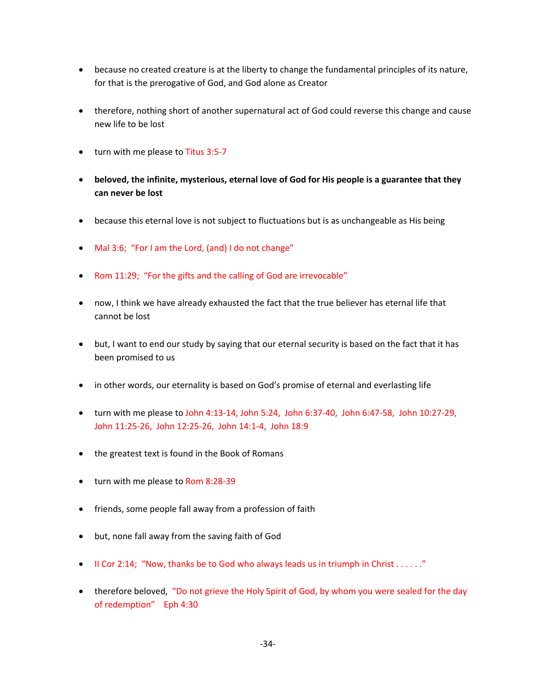- because no created creature is at the liberty to change the fundamental principles of its nature, for that is the prerogative of God, and God alone as Creator
- therefore, nothing short of another supernatural act of God could reverse this change and cause new life to be lost
- turn with me please to Titus 3:5-7
- **beloved, the infinite, mysterious, eternal love of God for His people is a guarantee that they can never be lost**
- because this eternal love is not subject to fluctuations but is as unchangeable as His being
- Mal 3:6; "For I am the Lord, (and) I do not change"
- Rom 11:29; "For the gifts and the calling of God are irrevocable"
- now, I think we have already exhausted the fact that the true believer has eternal life that cannot be lost
- but, I want to end our study by saying that our eternal security is based on the fact that it has been promised to us
- in other words, our eternality is based on God's promise of eternal and everlasting life
- turn with me please to John 4:13-14, John 5:24, John 6:37-40, John 6:47-58, John 10:27-29, John 11:25-26, John 12:25-26, John 14:1-4, John 18:9
- the greatest text is found in the Book of Romans
- turn with me please to Rom 8:28-39
- friends, some people fall away from a profession of faith
- but, none fall away from the saving faith of God
- II Cor 2:14; "Now, thanks be to God who always leads us in triumph in Christ  $\dots$ ..."
- therefore beloved, "Do not grieve the Holy Spirit of God, by whom you were sealed for the day of redemption" Eph 4:30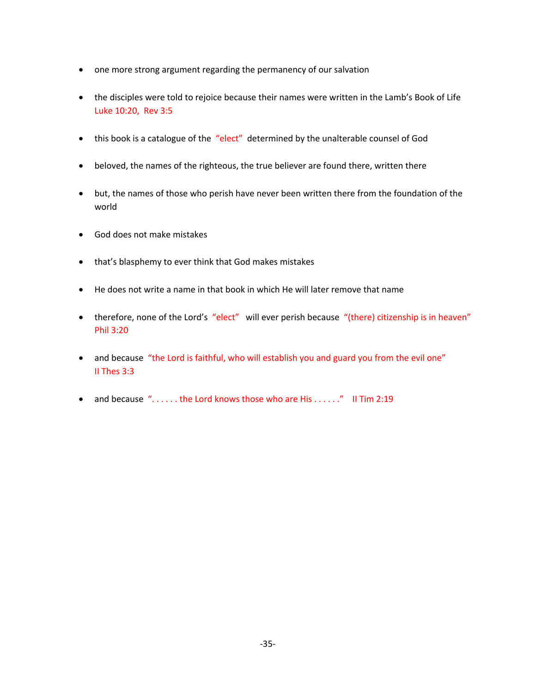- one more strong argument regarding the permanency of our salvation
- the disciples were told to rejoice because their names were written in the Lamb's Book of Life Luke 10:20, Rev 3:5
- this book is a catalogue of the "elect" determined by the unalterable counsel of God
- beloved, the names of the righteous, the true believer are found there, written there
- but, the names of those who perish have never been written there from the foundation of the world
- God does not make mistakes
- that's blasphemy to ever think that God makes mistakes
- He does not write a name in that book in which He will later remove that name
- therefore, none of the Lord's "elect" will ever perish because "(there) citizenship is in heaven" Phil 3:20
- and because "the Lord is faithful, who will establish you and guard you from the evil one" II Thes 3:3
- and because  $\degree$ ..... the Lord knows those who are His ......" II Tim 2:19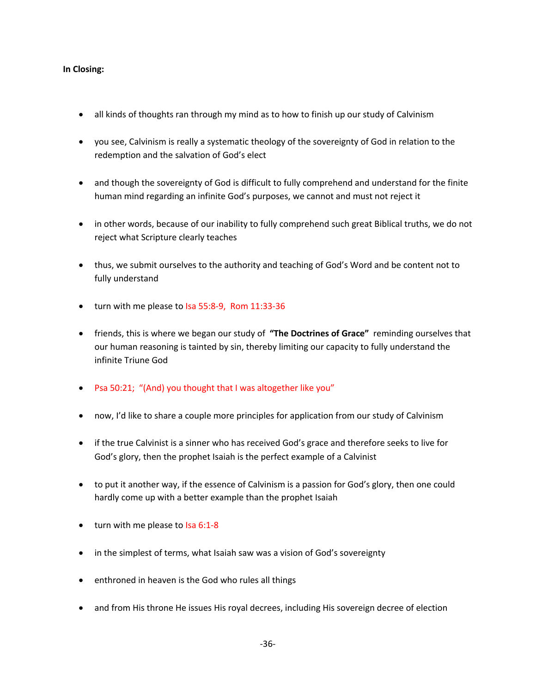### **In Closing:**

- all kinds of thoughts ran through my mind as to how to finish up our study of Calvinism
- you see, Calvinism is really a systematic theology of the sovereignty of God in relation to the redemption and the salvation of God's elect
- and though the sovereignty of God is difficult to fully comprehend and understand for the finite human mind regarding an infinite God's purposes, we cannot and must not reject it
- in other words, because of our inability to fully comprehend such great Biblical truths, we do not reject what Scripture clearly teaches
- thus, we submit ourselves to the authority and teaching of God's Word and be content not to fully understand
- turn with me please to Isa 55:8-9, Rom 11:33-36
- friends, this is where we began our study of **"The Doctrines of Grace"** reminding ourselves that our human reasoning is tainted by sin, thereby limiting our capacity to fully understand the infinite Triune God
- Psa 50:21; "(And) you thought that I was altogether like you"
- now, I'd like to share a couple more principles for application from our study of Calvinism
- if the true Calvinist is a sinner who has received God's grace and therefore seeks to live for God's glory, then the prophet Isaiah is the perfect example of a Calvinist
- to put it another way, if the essence of Calvinism is a passion for God's glory, then one could hardly come up with a better example than the prophet Isaiah
- turn with me please to Isa 6:1-8
- in the simplest of terms, what Isaiah saw was a vision of God's sovereignty
- enthroned in heaven is the God who rules all things
- and from His throne He issues His royal decrees, including His sovereign decree of election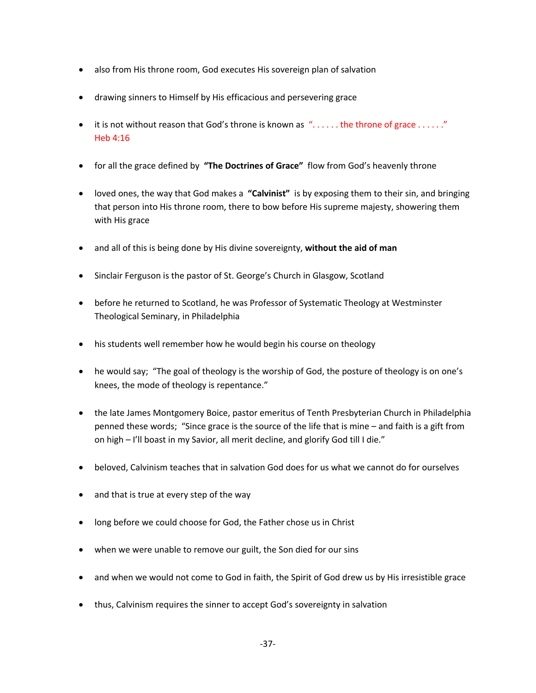- also from His throne room, God executes His sovereign plan of salvation
- drawing sinners to Himself by His efficacious and persevering grace
- it is not without reason that God's throne is known as  $\lq\ldots\ldots$  the throne of grace  $\ldots\ldots\lq$ Heb 4:16
- for all the grace defined by **"The Doctrines of Grace"** flow from God's heavenly throne
- loved ones, the way that God makes a **"Calvinist"** is by exposing them to their sin, and bringing that person into His throne room, there to bow before His supreme majesty, showering them with His grace
- and all of this is being done by His divine sovereignty, **without the aid of man**
- Sinclair Ferguson is the pastor of St. George's Church in Glasgow, Scotland
- before he returned to Scotland, he was Professor of Systematic Theology at Westminster Theological Seminary, in Philadelphia
- his students well remember how he would begin his course on theology
- he would say; "The goal of theology is the worship of God, the posture of theology is on one's knees, the mode of theology is repentance."
- the late James Montgomery Boice, pastor emeritus of Tenth Presbyterian Church in Philadelphia penned these words; "Since grace is the source of the life that is mine – and faith is a gift from on high – I'll boast in my Savior, all merit decline, and glorify God till I die."
- beloved, Calvinism teaches that in salvation God does for us what we cannot do for ourselves
- and that is true at every step of the way
- long before we could choose for God, the Father chose us in Christ
- when we were unable to remove our guilt, the Son died for our sins
- and when we would not come to God in faith, the Spirit of God drew us by His irresistible grace
- thus, Calvinism requires the sinner to accept God's sovereignty in salvation